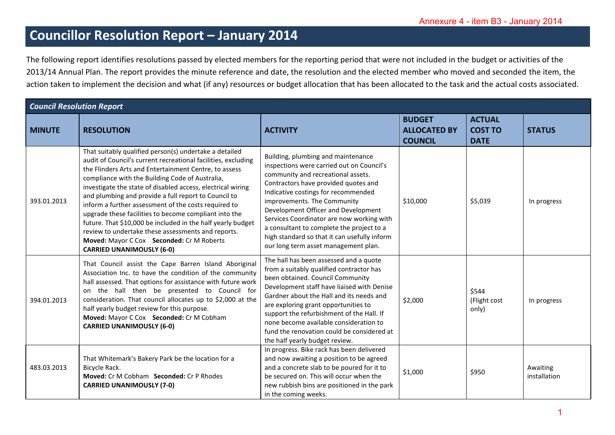## **Councillor Resolution Report – January 2014**

|               | The following report identifies resolutions passed by elected members for the reporting period that were not included in the budget or activities of the<br>2013/14 Annual Plan. The report provides the minute reference and date, the resolution and the elected member who moved and seconded the item, the<br>action taken to implement the decision and what (if any) resources or budget allocation that has been allocated to the task and the actual costs associated.                                                                                                                                                                                                    |                                                                                                                                                                                                                                                                                                                                                                                                                                                              |                                                        |                                                |                          |
|---------------|-----------------------------------------------------------------------------------------------------------------------------------------------------------------------------------------------------------------------------------------------------------------------------------------------------------------------------------------------------------------------------------------------------------------------------------------------------------------------------------------------------------------------------------------------------------------------------------------------------------------------------------------------------------------------------------|--------------------------------------------------------------------------------------------------------------------------------------------------------------------------------------------------------------------------------------------------------------------------------------------------------------------------------------------------------------------------------------------------------------------------------------------------------------|--------------------------------------------------------|------------------------------------------------|--------------------------|
|               | <b>Council Resolution Report</b>                                                                                                                                                                                                                                                                                                                                                                                                                                                                                                                                                                                                                                                  |                                                                                                                                                                                                                                                                                                                                                                                                                                                              |                                                        |                                                |                          |
| <b>MINUTE</b> | <b>RESOLUTION</b>                                                                                                                                                                                                                                                                                                                                                                                                                                                                                                                                                                                                                                                                 | <b>ACTIVITY</b>                                                                                                                                                                                                                                                                                                                                                                                                                                              | <b>BUDGET</b><br><b>ALLOCATED BY</b><br><b>COUNCIL</b> | <b>ACTUAL</b><br><b>COST TO</b><br><b>DATE</b> | <b>STATUS</b>            |
| 393.01.2013   | That suitably qualified person(s) undertake a detailed<br>audit of Council's current recreational facilities, excluding<br>the Flinders Arts and Entertainment Centre, to assess<br>compliance with the Building Code of Australia,<br>investigate the state of disabled access, electrical wiring<br>and plumbing and provide a full report to Council to<br>inform a further assessment of the costs required to<br>upgrade these facilities to become compliant into the<br>future. That \$10,000 be included in the half yearly budget<br>review to undertake these assessments and reports.<br>Moved: Mayor C Cox Seconded: Cr M Roberts<br><b>CARRIED UNANIMOUSLY (6-0)</b> | Building, plumbing and maintenance<br>inspections were carried out on Council's<br>community and recreational assets.<br>Contractors have provided quotes and<br>Indicative costings for recommended<br>improvements. The Community<br>Development Officer and Development<br>Services Coordinator are now working with<br>a consultant to complete the project to a<br>high standard so that it can usefully inform<br>our long term asset management plan. | \$10,000                                               | \$5,039                                        | In progress              |
| 394.01.2013   | That Council assist the Cape Barren Island Aboriginal<br>Association Inc. to have the condition of the community<br>hall assessed. That options for assistance with future work<br>on the hall then be presented to Council for<br>consideration. That council allocates up to \$2,000 at the<br>half yearly budget review for this purpose.<br>Moved: Mayor C Cox Seconded: Cr M Cobham<br><b>CARRIED UNANIMOUSLY (6-0)</b>                                                                                                                                                                                                                                                      | The hall has been assessed and a quote<br>from a suitably qualified contractor has<br>been obtained. Council Community<br>Development staff have liaised with Denise<br>Gardner about the Hall and its needs and<br>are exploring grant opportunities to<br>support the refurbishment of the Hall. If<br>none become available consideration to<br>fund the renovation could be considered at<br>the half yearly budget review.                              | \$2,000                                                | \$544<br>(Flight cost<br>only)                 | In progress              |
| 483.03.2013   | That Whitemark's Bakery Park be the location for a<br>Bicycle Rack.<br>Moved: Cr M Cobham Seconded: Cr P Rhodes<br><b>CARRIED UNANIMOUSLY (7-0)</b>                                                                                                                                                                                                                                                                                                                                                                                                                                                                                                                               | In progress. Bike rack has been delivered<br>and now awaiting a position to be agreed<br>and a concrete slab to be poured for it to<br>be secured on. This will occur when the<br>new rubbish bins are positioned in the park<br>in the coming weeks.                                                                                                                                                                                                        | \$1,000                                                | \$950                                          | Awaiting<br>installation |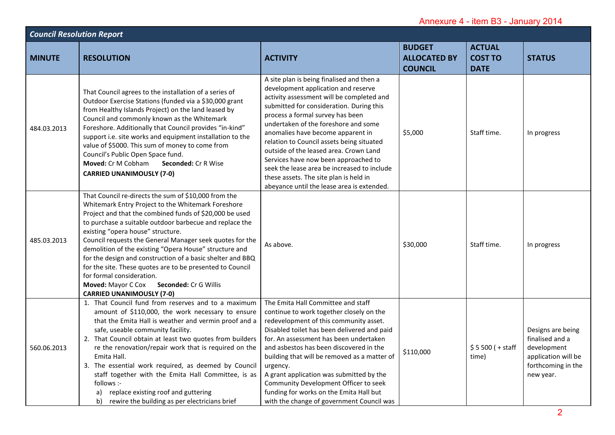| Annexure 4 - item B3 - January 2014 |                                                                                                                                                                                                                                                                                                                                                                                                                                                                                                                                                                                                                                     |                                                                                                                                                                                                                                                                                                                                                                                                                                                                                                                                                                  |                                                        |                                                |                                                                                                               |  |
|-------------------------------------|-------------------------------------------------------------------------------------------------------------------------------------------------------------------------------------------------------------------------------------------------------------------------------------------------------------------------------------------------------------------------------------------------------------------------------------------------------------------------------------------------------------------------------------------------------------------------------------------------------------------------------------|------------------------------------------------------------------------------------------------------------------------------------------------------------------------------------------------------------------------------------------------------------------------------------------------------------------------------------------------------------------------------------------------------------------------------------------------------------------------------------------------------------------------------------------------------------------|--------------------------------------------------------|------------------------------------------------|---------------------------------------------------------------------------------------------------------------|--|
| <b>Council Resolution Report</b>    |                                                                                                                                                                                                                                                                                                                                                                                                                                                                                                                                                                                                                                     |                                                                                                                                                                                                                                                                                                                                                                                                                                                                                                                                                                  |                                                        |                                                |                                                                                                               |  |
| <b>MINUTE</b>                       | <b>RESOLUTION</b>                                                                                                                                                                                                                                                                                                                                                                                                                                                                                                                                                                                                                   | <b>ACTIVITY</b>                                                                                                                                                                                                                                                                                                                                                                                                                                                                                                                                                  | <b>BUDGET</b><br><b>ALLOCATED BY</b><br><b>COUNCIL</b> | <b>ACTUAL</b><br><b>COST TO</b><br><b>DATE</b> | <b>STATUS</b>                                                                                                 |  |
| 484.03.2013                         | That Council agrees to the installation of a series of<br>Outdoor Exercise Stations (funded via a \$30,000 grant<br>from Healthy Islands Project) on the land leased by<br>Council and commonly known as the Whitemark<br>Foreshore. Additionally that Council provides "in-kind"<br>support i.e. site works and equipment installation to the<br>value of \$5000. This sum of money to come from<br>Council's Public Open Space fund.<br>Moved: Cr M Cobham<br>Seconded: Cr R Wise<br><b>CARRIED UNANIMOUSLY (7-0)</b>                                                                                                             | A site plan is being finalised and then a<br>development application and reserve<br>activity assessment will be completed and<br>submitted for consideration. During this<br>process a formal survey has been<br>undertaken of the foreshore and some<br>anomalies have become apparent in<br>relation to Council assets being situated<br>outside of the leased area. Crown Land<br>Services have now been approached to<br>seek the lease area be increased to include<br>these assets. The site plan is held in<br>abeyance until the lease area is extended. | \$5,000                                                | Staff time.                                    | In progress                                                                                                   |  |
| 485.03.2013                         | That Council re-directs the sum of \$10,000 from the<br>Whitemark Entry Project to the Whitemark Foreshore<br>Project and that the combined funds of \$20,000 be used<br>to purchase a suitable outdoor barbecue and replace the<br>existing "opera house" structure.<br>Council requests the General Manager seek quotes for the<br>demolition of the existing "Opera House" structure and<br>for the design and construction of a basic shelter and BBQ<br>for the site. These quotes are to be presented to Council<br>for formal consideration.<br>Moved: Mayor C Cox Seconded: Cr G Willis<br><b>CARRIED UNANIMOUSLY (7-0)</b> | As above.                                                                                                                                                                                                                                                                                                                                                                                                                                                                                                                                                        | \$30,000                                               | Staff time.                                    | In progress                                                                                                   |  |
| 560.06.2013                         | 1. That Council fund from reserves and to a maximum<br>amount of \$110,000, the work necessary to ensure<br>that the Emita Hall is weather and vermin proof and a<br>safe, useable community facility.<br>2. That Council obtain at least two quotes from builders<br>re the renovation/repair work that is required on the<br>Emita Hall.<br>3. The essential work required, as deemed by Council<br>staff together with the Emita Hall Committee, is as<br>follows :-<br>replace existing roof and guttering<br>a)<br>rewire the building as per electricians brief<br>b)                                                         | The Emita Hall Committee and staff<br>continue to work together closely on the<br>redevelopment of this community asset.<br>Disabled toilet has been delivered and paid<br>for. An assessment has been undertaken<br>and asbestos has been discovered in the<br>building that will be removed as a matter of<br>urgency.<br>A grant application was submitted by the<br>Community Development Officer to seek<br>funding for works on the Emita Hall but<br>with the change of government Council was                                                            | \$110,000                                              | $$5500 (+ statf)$<br>time)                     | Designs are being<br>finalised and a<br>development<br>application will be<br>forthcoming in the<br>new year. |  |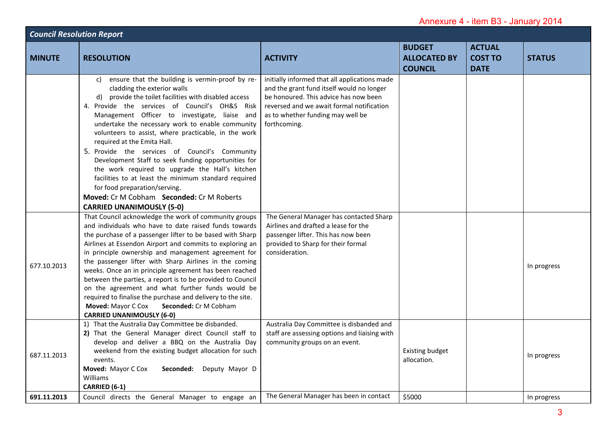| Annexure 4 - item B3 - January 2014 |                                                                                                                                                                                                                                                                                                                                                                                                                                                                                                                                                                                                                                                                                                                                      |                                                                                                                                                                                                                                       |                                                        |                                                |               |  |
|-------------------------------------|--------------------------------------------------------------------------------------------------------------------------------------------------------------------------------------------------------------------------------------------------------------------------------------------------------------------------------------------------------------------------------------------------------------------------------------------------------------------------------------------------------------------------------------------------------------------------------------------------------------------------------------------------------------------------------------------------------------------------------------|---------------------------------------------------------------------------------------------------------------------------------------------------------------------------------------------------------------------------------------|--------------------------------------------------------|------------------------------------------------|---------------|--|
| <b>Council Resolution Report</b>    |                                                                                                                                                                                                                                                                                                                                                                                                                                                                                                                                                                                                                                                                                                                                      |                                                                                                                                                                                                                                       |                                                        |                                                |               |  |
| <b>MINUTE</b>                       | <b>RESOLUTION</b>                                                                                                                                                                                                                                                                                                                                                                                                                                                                                                                                                                                                                                                                                                                    | <b>ACTIVITY</b>                                                                                                                                                                                                                       | <b>BUDGET</b><br><b>ALLOCATED BY</b><br><b>COUNCIL</b> | <b>ACTUAL</b><br><b>COST TO</b><br><b>DATE</b> | <b>STATUS</b> |  |
|                                     | ensure that the building is vermin-proof by re-<br>C)<br>cladding the exterior walls<br>provide the toilet facilities with disabled access<br>d)<br>4. Provide the services of Council's OH&S Risk<br>Management Officer to investigate, liaise and<br>undertake the necessary work to enable community<br>volunteers to assist, where practicable, in the work<br>required at the Emita Hall.<br>5. Provide the services of Council's Community<br>Development Staff to seek funding opportunities for<br>the work required to upgrade the Hall's kitchen<br>facilities to at least the minimum standard required<br>for food preparation/serving.<br>Moved: Cr M Cobham Seconded: Cr M Roberts<br><b>CARRIED UNANIMOUSLY (5-0)</b> | initially informed that all applications made<br>and the grant fund itself would no longer<br>be honoured. This advice has now been<br>reversed and we await formal notification<br>as to whether funding may well be<br>forthcoming. |                                                        |                                                |               |  |
| 677.10.2013                         | That Council acknowledge the work of community groups<br>and individuals who have to date raised funds towards<br>the purchase of a passenger lifter to be based with Sharp<br>Airlines at Essendon Airport and commits to exploring an<br>in principle ownership and management agreement for<br>the passenger lifter with Sharp Airlines in the coming<br>weeks. Once an in principle agreement has been reached<br>between the parties, a report is to be provided to Council<br>on the agreement and what further funds would be<br>required to finalise the purchase and delivery to the site.<br>Moved: Mayor C Cox<br><b>Seconded: Cr M Cobham</b><br><b>CARRIED UNANIMOUSLY (6-0)</b>                                        | The General Manager has contacted Sharp<br>Airlines and drafted a lease for the<br>passenger lifter. This has now been<br>provided to Sharp for their formal<br>consideration.                                                        |                                                        |                                                | In progress   |  |
| 687.11.2013                         | 1) That the Australia Day Committee be disbanded.<br>2) That the General Manager direct Council staff to<br>develop and deliver a BBQ on the Australia Day<br>weekend from the existing budget allocation for such<br>events.<br>Moved: Mayor C Cox<br>Seconded: Deputy Mayor D<br>Williams<br>CARRIED (6-1)                                                                                                                                                                                                                                                                                                                                                                                                                         | Australia Day Committee is disbanded and<br>staff are assessing options and liaising with<br>community groups on an event.                                                                                                            | <b>Existing budget</b><br>allocation.                  |                                                | In progress   |  |
| 691.11.2013                         | Council directs the General Manager to engage an                                                                                                                                                                                                                                                                                                                                                                                                                                                                                                                                                                                                                                                                                     | The General Manager has been in contact                                                                                                                                                                                               | \$5000                                                 |                                                | In progress   |  |
|                                     |                                                                                                                                                                                                                                                                                                                                                                                                                                                                                                                                                                                                                                                                                                                                      |                                                                                                                                                                                                                                       |                                                        |                                                | 3             |  |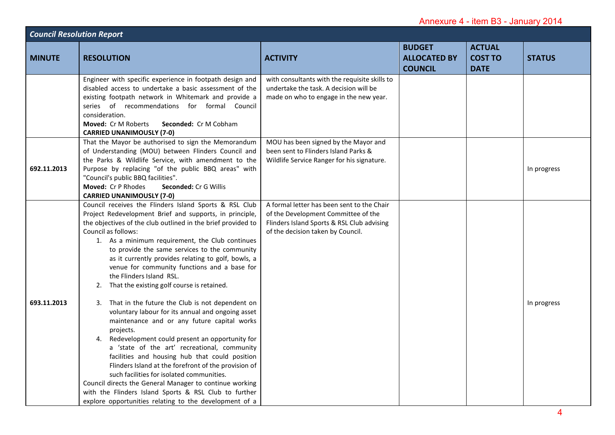| Annexure 4 - item B3 - January 2014 |                                                                                                                                                                                                                                                                                                                                                                                                                                                                                                                                                                                                                                                                                                                                                                                                                                                                                                                                                                                                                                                                                                                         |                                                                                                                                                                      |                                                        |                                                |               |
|-------------------------------------|-------------------------------------------------------------------------------------------------------------------------------------------------------------------------------------------------------------------------------------------------------------------------------------------------------------------------------------------------------------------------------------------------------------------------------------------------------------------------------------------------------------------------------------------------------------------------------------------------------------------------------------------------------------------------------------------------------------------------------------------------------------------------------------------------------------------------------------------------------------------------------------------------------------------------------------------------------------------------------------------------------------------------------------------------------------------------------------------------------------------------|----------------------------------------------------------------------------------------------------------------------------------------------------------------------|--------------------------------------------------------|------------------------------------------------|---------------|
| <b>Council Resolution Report</b>    |                                                                                                                                                                                                                                                                                                                                                                                                                                                                                                                                                                                                                                                                                                                                                                                                                                                                                                                                                                                                                                                                                                                         |                                                                                                                                                                      |                                                        |                                                |               |
| <b>MINUTE</b>                       | <b>RESOLUTION</b>                                                                                                                                                                                                                                                                                                                                                                                                                                                                                                                                                                                                                                                                                                                                                                                                                                                                                                                                                                                                                                                                                                       | <b>ACTIVITY</b>                                                                                                                                                      | <b>BUDGET</b><br><b>ALLOCATED BY</b><br><b>COUNCIL</b> | <b>ACTUAL</b><br><b>COST TO</b><br><b>DATE</b> | <b>STATUS</b> |
|                                     | Engineer with specific experience in footpath design and<br>disabled access to undertake a basic assessment of the<br>existing footpath network in Whitemark and provide a<br>series of recommendations for formal Council<br>consideration.<br>Seconded: Cr M Cobham<br><b>Moved: Cr M Roberts</b><br><b>CARRIED UNANIMOUSLY (7-0)</b>                                                                                                                                                                                                                                                                                                                                                                                                                                                                                                                                                                                                                                                                                                                                                                                 | with consultants with the requisite skills to<br>undertake the task. A decision will be<br>made on who to engage in the new year.                                    |                                                        |                                                |               |
| 692.11.2013                         | That the Mayor be authorised to sign the Memorandum<br>of Understanding (MOU) between Flinders Council and<br>the Parks & Wildlife Service, with amendment to the<br>Purpose by replacing "of the public BBQ areas" with<br>"Council's public BBQ facilities".<br>Moved: Cr P Rhodes<br>Seconded: Cr G Willis<br><b>CARRIED UNANIMOUSLY (7-0)</b>                                                                                                                                                                                                                                                                                                                                                                                                                                                                                                                                                                                                                                                                                                                                                                       | MOU has been signed by the Mayor and<br>been sent to Flinders Island Parks &<br>Wildlife Service Ranger for his signature.                                           |                                                        |                                                | In progress   |
| 693.11.2013                         | Council receives the Flinders Island Sports & RSL Club<br>Project Redevelopment Brief and supports, in principle,<br>the objectives of the club outlined in the brief provided to<br>Council as follows:<br>1. As a minimum requirement, the Club continues<br>to provide the same services to the community<br>as it currently provides relating to golf, bowls, a<br>venue for community functions and a base for<br>the Flinders Island RSL.<br>That the existing golf course is retained.<br>2.<br>3. That in the future the Club is not dependent on<br>voluntary labour for its annual and ongoing asset<br>maintenance and or any future capital works<br>projects.<br>Redevelopment could present an opportunity for<br>4.<br>a 'state of the art' recreational, community<br>facilities and housing hub that could position<br>Flinders Island at the forefront of the provision of<br>such facilities for isolated communities.<br>Council directs the General Manager to continue working<br>with the Flinders Island Sports & RSL Club to further<br>explore opportunities relating to the development of a | A formal letter has been sent to the Chair<br>of the Development Committee of the<br>Flinders Island Sports & RSL Club advising<br>of the decision taken by Council. |                                                        |                                                | In progress   |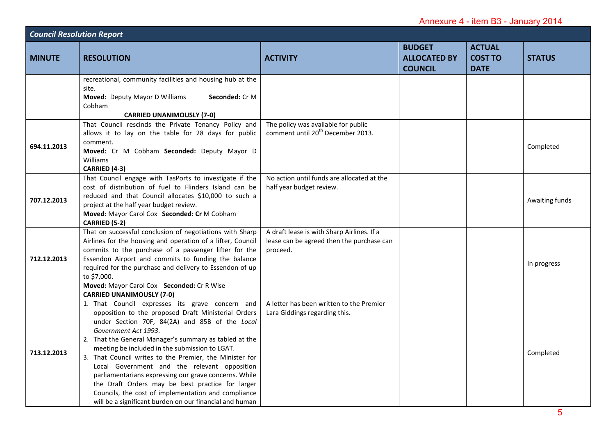| Annexure 4 - item B3 - January 2014 |                                                                                                                                                                                                                                                                                                                                                                                                                                                                                                                                                                                                                                        |                                                                                                     |                                                        |                                                |                |  |
|-------------------------------------|----------------------------------------------------------------------------------------------------------------------------------------------------------------------------------------------------------------------------------------------------------------------------------------------------------------------------------------------------------------------------------------------------------------------------------------------------------------------------------------------------------------------------------------------------------------------------------------------------------------------------------------|-----------------------------------------------------------------------------------------------------|--------------------------------------------------------|------------------------------------------------|----------------|--|
| <b>Council Resolution Report</b>    |                                                                                                                                                                                                                                                                                                                                                                                                                                                                                                                                                                                                                                        |                                                                                                     |                                                        |                                                |                |  |
| <b>MINUTE</b>                       | <b>RESOLUTION</b>                                                                                                                                                                                                                                                                                                                                                                                                                                                                                                                                                                                                                      | <b>ACTIVITY</b>                                                                                     | <b>BUDGET</b><br><b>ALLOCATED BY</b><br><b>COUNCIL</b> | <b>ACTUAL</b><br><b>COST TO</b><br><b>DATE</b> | <b>STATUS</b>  |  |
|                                     | recreational, community facilities and housing hub at the<br>site.<br>Moved: Deputy Mayor D Williams<br>Seconded: Cr M<br>Cobham<br><b>CARRIED UNANIMOUSLY (7-0)</b>                                                                                                                                                                                                                                                                                                                                                                                                                                                                   |                                                                                                     |                                                        |                                                |                |  |
| 694.11.2013                         | That Council rescinds the Private Tenancy Policy and<br>allows it to lay on the table for 28 days for public<br>comment.<br>Moved: Cr M Cobham Seconded: Deputy Mayor D<br>Williams<br>CARRIED (4-3)                                                                                                                                                                                                                                                                                                                                                                                                                                   | The policy was available for public<br>comment until 20 <sup>th</sup> December 2013.                |                                                        |                                                | Completed      |  |
| 707.12.2013                         | That Council engage with TasPorts to investigate if the<br>cost of distribution of fuel to Flinders Island can be<br>reduced and that Council allocates \$10,000 to such a<br>project at the half year budget review.<br>Moved: Mayor Carol Cox Seconded: Cr M Cobham<br>CARRIED (5-2)                                                                                                                                                                                                                                                                                                                                                 | No action until funds are allocated at the<br>half year budget review.                              |                                                        |                                                | Awaiting funds |  |
| 712.12.2013                         | That on successful conclusion of negotiations with Sharp<br>Airlines for the housing and operation of a lifter, Council<br>commits to the purchase of a passenger lifter for the<br>Essendon Airport and commits to funding the balance<br>required for the purchase and delivery to Essendon of up<br>to \$7,000.<br>Moved: Mayor Carol Cox Seconded: Cr R Wise<br><b>CARRIED UNANIMOUSLY (7-0)</b>                                                                                                                                                                                                                                   | A draft lease is with Sharp Airlines. If a<br>lease can be agreed then the purchase can<br>proceed. |                                                        |                                                | In progress    |  |
| 713.12.2013                         | 1. That Council expresses its grave concern and<br>opposition to the proposed Draft Ministerial Orders<br>under Section 70F, 84(2A) and 85B of the Local<br>Government Act 1993.<br>2. That the General Manager's summary as tabled at the<br>meeting be included in the submission to LGAT.<br>3. That Council writes to the Premier, the Minister for<br>Local Government and the relevant opposition<br>parliamentarians expressing our grave concerns. While<br>the Draft Orders may be best practice for larger<br>Councils, the cost of implementation and compliance<br>will be a significant burden on our financial and human | A letter has been written to the Premier<br>Lara Giddings regarding this.                           |                                                        |                                                | Completed      |  |